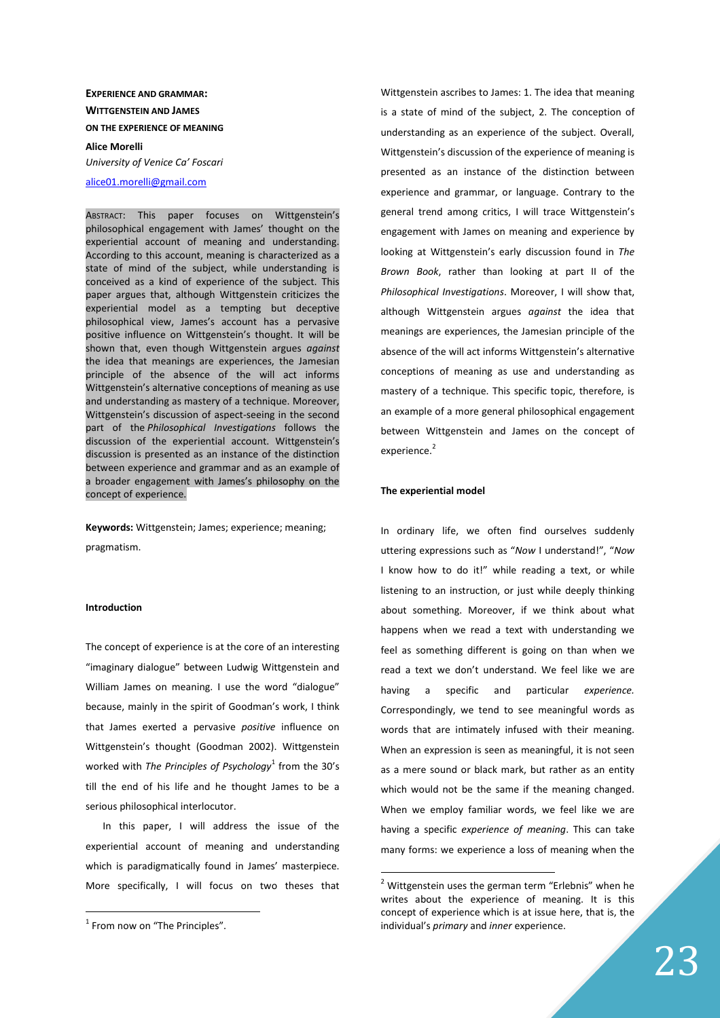# **EXPERIENCE AND GRAMMAR: WITTGENSTEIN AND JAMES ON THE EXPERIENCE OF MEANING Alice Morelli**

*University of Venice Ca' Foscari* 

alice01.morelli@gmail.com

ABSTRACT: This paper focuses on Wittgenstein's philosophical engagement with James' thought on the experiential account of meaning and understanding. According to this account, meaning is characterized as a state of mind of the subject, while understanding is conceived as a kind of experience of the subject. This paper argues that, although Wittgenstein criticizes the experiential model as a tempting but deceptive philosophical view, James's account has a pervasive positive influence on Wittgenstein's thought. It will be shown that, even though Wittgenstein argues *against* the idea that meanings are experiences, the Jamesian principle of the absence of the will act informs Wittgenstein's alternative conceptions of meaning as use and understanding as mastery of a technique. Moreover, Wittgenstein's discussion of aspect-seeing in the second part of the *Philosophical Investigations* follows the discussion of the experiential account. Wittgenstein's discussion is presented as an instance of the distinction between experience and grammar and as an example of a broader engagement with James's philosophy on the concept of experience.

**Keywords:** Wittgenstein; James; experience; meaning; pragmatism.

## **Introduction**

The concept of experience is at the core of an interesting "imaginary dialogue" between Ludwig Wittgenstein and William James on meaning. I use the word "dialogue" because, mainly in the spirit of Goodman's work, I think that James exerted a pervasive *positive* influence on Wittgenstein's thought (Goodman 2002). Wittgenstein worked with *The Principles of Psychology*<sup>1</sup> from the 30's till the end of his life and he thought James to be a serious philosophical interlocutor.

In this paper, I will address the issue of the experiential account of meaning and understanding which is paradigmatically found in James' masterpiece. More specifically, I will focus on two theses that

 $\overline{a}$ 

Wittgenstein ascribes to James: 1. The idea that meaning is a state of mind of the subject, 2. The conception of understanding as an experience of the subject. Overall, Wittgenstein's discussion of the experience of meaning is presented as an instance of the distinction between experience and grammar, or language. Contrary to the general trend among critics, I will trace Wittgenstein's engagement with James on meaning and experience by looking at Wittgenstein's early discussion found in *The Brown Book*, rather than looking at part II of the *Philosophical Investigations*. Moreover, I will show that, although Wittgenstein argues *against* the idea that meanings are experiences, the Jamesian principle of the absence of the will act informs Wittgenstein's alternative conceptions of meaning as use and understanding as mastery of a technique. This specific topic, therefore, is an example of a more general philosophical engagement between Wittgenstein and James on the concept of experience.<sup>2</sup>

#### **The experiential model**

 $\overline{a}$ 

In ordinary life, we often find ourselves suddenly uttering expressions such as "*Now* I understand!", "*Now* I know how to do it!" while reading a text, or while listening to an instruction, or just while deeply thinking about something. Moreover, if we think about what happens when we read a text with understanding we feel as something different is going on than when we read a text we don't understand. We feel like we are having a specific and particular *experience.* Correspondingly, we tend to see meaningful words as words that are intimately infused with their meaning. When an expression is seen as meaningful, it is not seen as a mere sound or black mark, but rather as an entity which would not be the same if the meaning changed. When we employ familiar words, we feel like we are having a specific *experience of meaning*. This can take many forms: we experience a loss of meaning when the

 $<sup>1</sup>$  From now on "The Principles".</sup>

<sup>&</sup>lt;sup>2</sup> Wittgenstein uses the german term "Erlebnis" when he writes about the experience of meaning. It is this concept of experience which is at issue here, that is, the individual's *primary* and *inner* experience.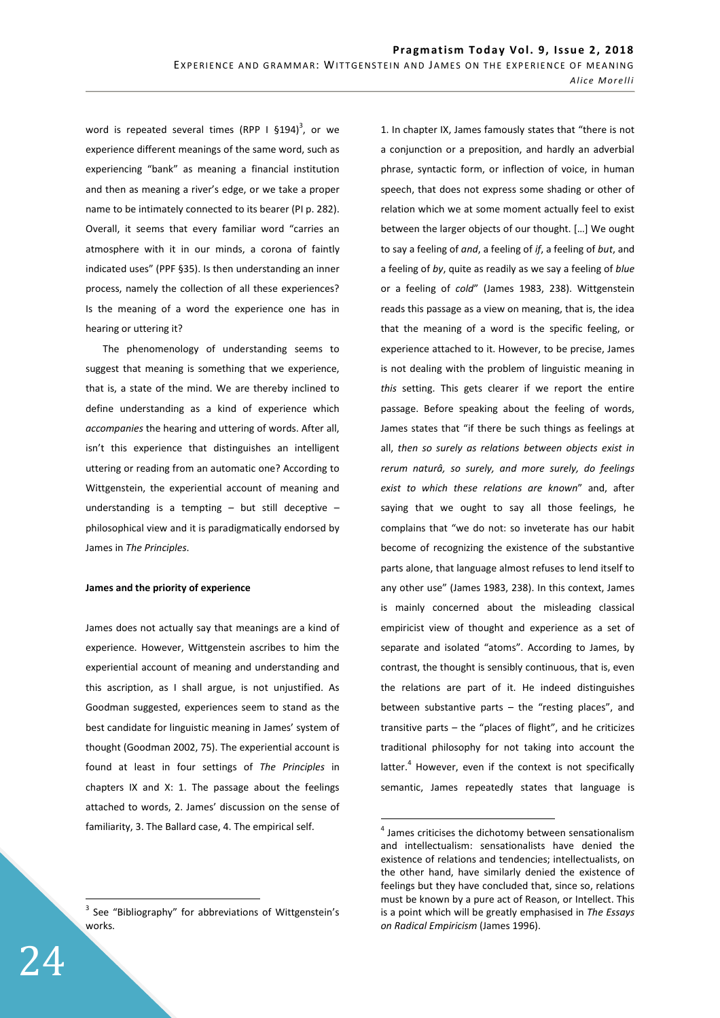word is repeated several times (RPP I  $$194$ )<sup>3</sup>, or we experience different meanings of the same word, such as experiencing "bank" as meaning a financial institution and then as meaning a river's edge, or we take a proper name to be intimately connected to its bearer (PI p. 282). Overall, it seems that every familiar word "carries an atmosphere with it in our minds, a corona of faintly indicated uses" (PPF §35). Is then understanding an inner process, namely the collection of all these experiences? Is the meaning of a word the experience one has in hearing or uttering it?

The phenomenology of understanding seems to suggest that meaning is something that we experience, that is, a state of the mind. We are thereby inclined to define understanding as a kind of experience which *accompanies* the hearing and uttering of words. After all, isn't this experience that distinguishes an intelligent uttering or reading from an automatic one? According to Wittgenstein, the experiential account of meaning and understanding is a tempting  $-$  but still deceptive  $$ philosophical view and it is paradigmatically endorsed by James in *The Principles*.

## **James and the priority of experience**

James does not actually say that meanings are a kind of experience. However, Wittgenstein ascribes to him the experiential account of meaning and understanding and this ascription, as I shall argue, is not unjustified. As Goodman suggested, experiences seem to stand as the best candidate for linguistic meaning in James' system of thought (Goodman 2002, 75). The experiential account is found at least in four settings of *The Principles* in chapters IX and X: 1. The passage about the feelings attached to words, 2. James' discussion on the sense of familiarity, 3. The Ballard case, 4. The empirical self.

1. In chapter IX, James famously states that "there is not a conjunction or a preposition, and hardly an adverbial phrase, syntactic form, or inflection of voice, in human speech, that does not express some shading or other of relation which we at some moment actually feel to exist between the larger objects of our thought. […] We ought to say a feeling of *and*, a feeling of *if*, a feeling of *but*, and a feeling of *by*, quite as readily as we say a feeling of *blue* or a feeling of *cold*" (James 1983, 238). Wittgenstein reads this passage as a view on meaning, that is, the idea that the meaning of a word is the specific feeling, or experience attached to it. However, to be precise, James is not dealing with the problem of linguistic meaning in *this* setting. This gets clearer if we report the entire passage. Before speaking about the feeling of words, James states that "if there be such things as feelings at all, *then so surely as relations between objects exist in rerum naturâ, so surely, and more surely, do feelings exist to which these relations are known*" and, after saying that we ought to say all those feelings, he complains that "we do not: so inveterate has our habit become of recognizing the existence of the substantive parts alone, that language almost refuses to lend itself to any other use" (James 1983, 238). In this context, James is mainly concerned about the misleading classical empiricist view of thought and experience as a set of separate and isolated "atoms". According to James, by contrast, the thought is sensibly continuous, that is, even the relations are part of it. He indeed distinguishes between substantive parts – the "resting places", and transitive parts – the "places of flight", and he criticizes traditional philosophy for not taking into account the latter.<sup>4</sup> However, even if the context is not specifically semantic, James repeatedly states that language is

 $\overline{a}$ 

 $\overline{a}$ <sup>3</sup> See "Bibliography" for abbreviations of Wittgenstein's works.

 $4$  James criticises the dichotomy between sensationalism and intellectualism: sensationalists have denied the existence of relations and tendencies; intellectualists, on the other hand, have similarly denied the existence of feelings but they have concluded that, since so, relations must be known by a pure act of Reason, or Intellect. This is a point which will be greatly emphasised in *The Essays on Radical Empiricism* (James 1996).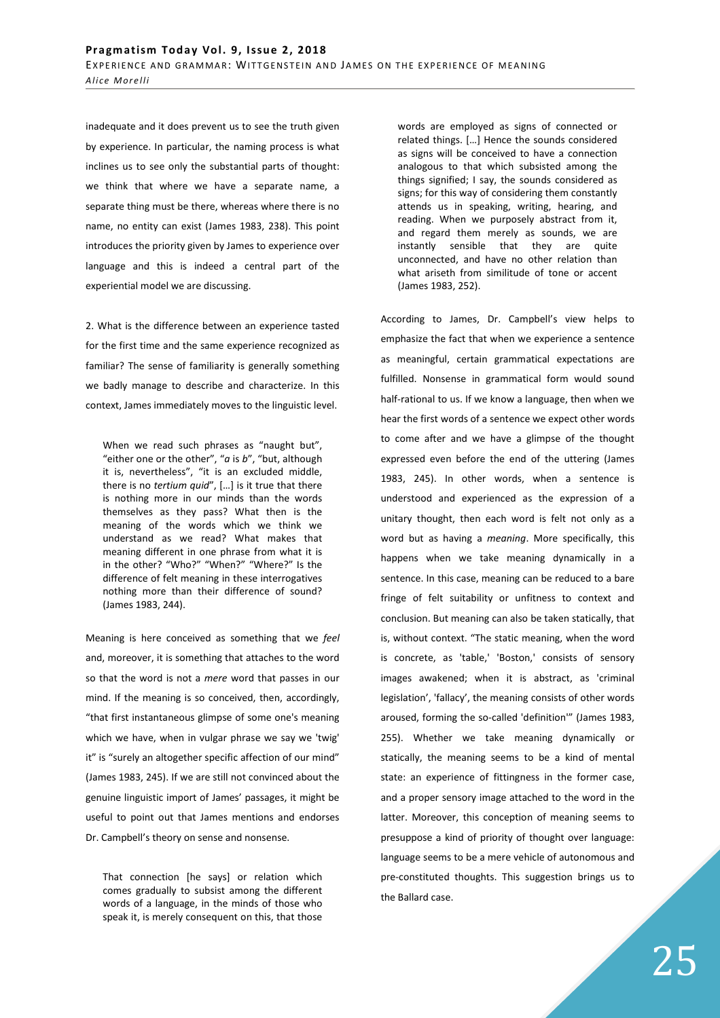inadequate and it does prevent us to see the truth given by experience. In particular, the naming process is what inclines us to see only the substantial parts of thought: we think that where we have a separate name, a separate thing must be there, whereas where there is no name, no entity can exist (James 1983, 238). This point introduces the priority given by James to experience over language and this is indeed a central part of the experiential model we are discussing.

2. What is the difference between an experience tasted for the first time and the same experience recognized as familiar? The sense of familiarity is generally something we badly manage to describe and characterize. In this context, James immediately moves to the linguistic level.

When we read such phrases as "naught but". "either one or the other", "*a* is *b*", "but, although it is, nevertheless", "it is an excluded middle, there is no *tertium quid*", […] is it true that there is nothing more in our minds than the words themselves as they pass? What then is the meaning of the words which we think we understand as we read? What makes that meaning different in one phrase from what it is in the other? "Who?" "When?" "Where?" Is the difference of felt meaning in these interrogatives nothing more than their difference of sound? (James 1983, 244).

Meaning is here conceived as something that we *feel* and, moreover, it is something that attaches to the word so that the word is not a *mere* word that passes in our mind. If the meaning is so conceived, then, accordingly, "that first instantaneous glimpse of some one's meaning which we have, when in vulgar phrase we say we 'twig' it" is "surely an altogether specific affection of our mind" (James 1983, 245). If we are still not convinced about the genuine linguistic import of James' passages, it might be useful to point out that James mentions and endorses Dr. Campbell's theory on sense and nonsense.

That connection [he says] or relation which comes gradually to subsist among the different words of a language, in the minds of those who speak it, is merely consequent on this, that those

words are employed as signs of connected or related things. […] Hence the sounds considered as signs will be conceived to have a connection analogous to that which subsisted among the things signified; I say, the sounds considered as signs; for this way of considering them constantly attends us in speaking, writing, hearing, and reading. When we purposely abstract from it, and regard them merely as sounds, we are instantly sensible that they are quite unconnected, and have no other relation than what ariseth from similitude of tone or accent (James 1983, 252).

According to James, Dr. Campbell's view helps to emphasize the fact that when we experience a sentence as meaningful, certain grammatical expectations are fulfilled. Nonsense in grammatical form would sound half-rational to us. If we know a language, then when we hear the first words of a sentence we expect other words to come after and we have a glimpse of the thought expressed even before the end of the uttering (James 1983, 245). In other words, when a sentence is understood and experienced as the expression of a unitary thought, then each word is felt not only as a word but as having a *meaning*. More specifically, this happens when we take meaning dynamically in a sentence. In this case, meaning can be reduced to a bare fringe of felt suitability or unfitness to context and conclusion. But meaning can also be taken statically, that is, without context. "The static meaning, when the word is concrete, as 'table,' 'Boston,' consists of sensory images awakened; when it is abstract, as 'criminal legislation', 'fallacy', the meaning consists of other words aroused, forming the so-called 'definition'" (James 1983, 255). Whether we take meaning dynamically or statically, the meaning seems to be a kind of mental state: an experience of fittingness in the former case, and a proper sensory image attached to the word in the latter. Moreover, this conception of meaning seems to presuppose a kind of priority of thought over language: language seems to be a mere vehicle of autonomous and pre-constituted thoughts. This suggestion brings us to the Ballard case.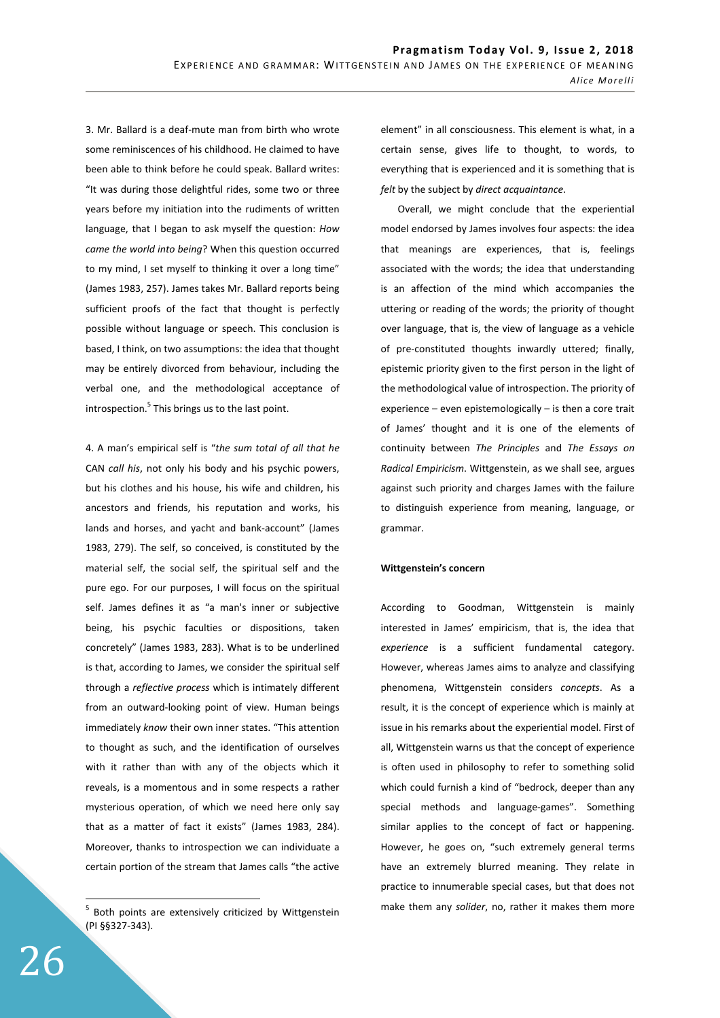3. Mr. Ballard is a deaf-mute man from birth who wrote some reminiscences of his childhood. He claimed to have been able to think before he could speak. Ballard writes: "It was during those delightful rides, some two or three years before my initiation into the rudiments of written language, that I began to ask myself the question: *How came the world into being*? When this question occurred to my mind, I set myself to thinking it over a long time" (James 1983, 257). James takes Mr. Ballard reports being sufficient proofs of the fact that thought is perfectly possible without language or speech. This conclusion is based, I think, on two assumptions: the idea that thought may be entirely divorced from behaviour, including the verbal one, and the methodological acceptance of introspection.<sup>5</sup> This brings us to the last point.

4. A man's empirical self is "*the sum total of all that he* CAN *call his*, not only his body and his psychic powers, but his clothes and his house, his wife and children, his ancestors and friends, his reputation and works, his lands and horses, and yacht and bank-account" (James 1983, 279). The self, so conceived, is constituted by the material self, the social self, the spiritual self and the pure ego. For our purposes, I will focus on the spiritual self. James defines it as "a man's inner or subjective being, his psychic faculties or dispositions, taken concretely" (James 1983, 283). What is to be underlined is that, according to James, we consider the spiritual self through a *reflective process* which is intimately different from an outward-looking point of view. Human beings immediately *know* their own inner states. "This attention to thought as such, and the identification of ourselves with it rather than with any of the objects which it reveals, is a momentous and in some respects a rather mysterious operation, of which we need here only say that as a matter of fact it exists" (James 1983, 284). Moreover, thanks to introspection we can individuate a certain portion of the stream that James calls "the active

element" in all consciousness. This element is what, in a certain sense, gives life to thought, to words, to everything that is experienced and it is something that is *felt* by the subject by *direct acquaintance*.

Overall, we might conclude that the experiential model endorsed by James involves four aspects: the idea that meanings are experiences, that is, feelings associated with the words; the idea that understanding is an affection of the mind which accompanies the uttering or reading of the words; the priority of thought over language, that is, the view of language as a vehicle of pre-constituted thoughts inwardly uttered; finally, epistemic priority given to the first person in the light of the methodological value of introspection. The priority of experience – even epistemologically – is then a core trait of James' thought and it is one of the elements of continuity between *The Principles* and *The Essays on Radical Empiricism*. Wittgenstein, as we shall see, argues against such priority and charges James with the failure to distinguish experience from meaning, language, or grammar.

# **Wittgenstein's concern**

According to Goodman, Wittgenstein is mainly interested in James' empiricism, that is, the idea that *experience* is a sufficient fundamental category. However, whereas James aims to analyze and classifying phenomena, Wittgenstein considers *concepts*. As a result, it is the concept of experience which is mainly at issue in his remarks about the experiential model. First of all, Wittgenstein warns us that the concept of experience is often used in philosophy to refer to something solid which could furnish a kind of "bedrock, deeper than any special methods and language-games". Something similar applies to the concept of fact or happening. However, he goes on, "such extremely general terms have an extremely blurred meaning. They relate in practice to innumerable special cases, but that does not make them any *solider*, no, rather it makes them more

 5 Both points are extensively criticized by Wittgenstein (PI §§327-343).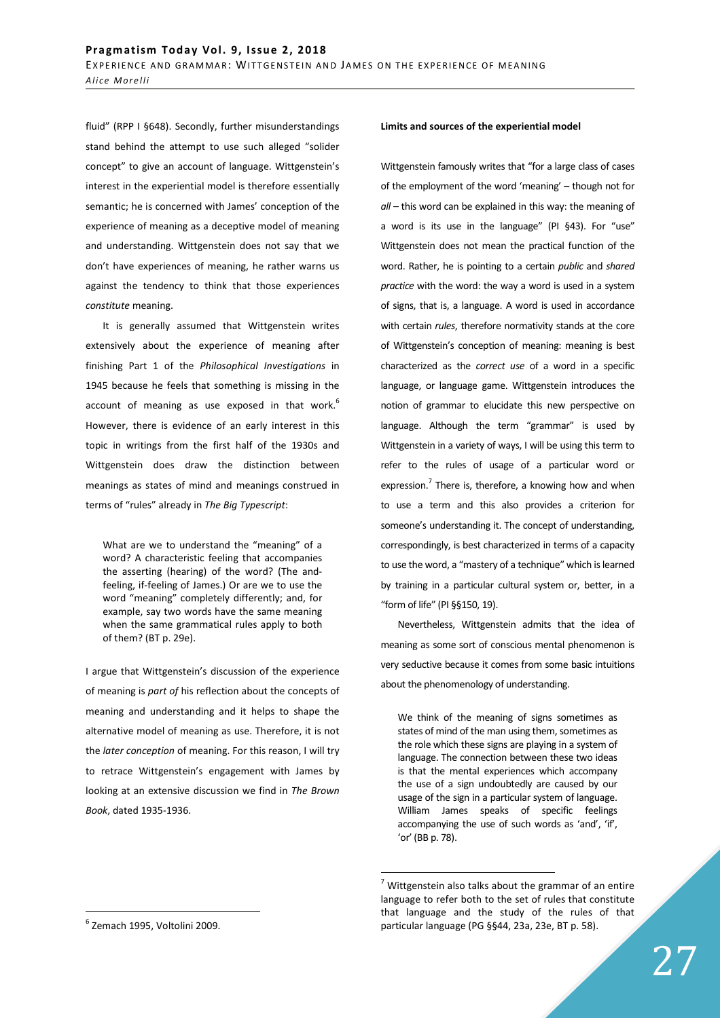fluid" (RPP I §648). Secondly, further misunderstandings stand behind the attempt to use such alleged "solider concept" to give an account of language. Wittgenstein's interest in the experiential model is therefore essentially semantic; he is concerned with James' conception of the experience of meaning as a deceptive model of meaning and understanding. Wittgenstein does not say that we don't have experiences of meaning, he rather warns us against the tendency to think that those experiences *constitute* meaning.

It is generally assumed that Wittgenstein writes extensively about the experience of meaning after finishing Part 1 of the *Philosophical Investigations* in 1945 because he feels that something is missing in the account of meaning as use exposed in that work. $<sup>6</sup>$ </sup> However, there is evidence of an early interest in this topic in writings from the first half of the 1930s and Wittgenstein does draw the distinction between meanings as states of mind and meanings construed in terms of "rules" already in *The Big Typescript*:

What are we to understand the "meaning" of a word? A characteristic feeling that accompanies the asserting (hearing) of the word? (The andfeeling, if-feeling of James.) Or are we to use the word "meaning" completely differently; and, for example, say two words have the same meaning when the same grammatical rules apply to both of them? (BT p. 29e).

I argue that Wittgenstein's discussion of the experience of meaning is *part of* his reflection about the concepts of meaning and understanding and it helps to shape the alternative model of meaning as use. Therefore, it is not the *later conception* of meaning. For this reason, I will try to retrace Wittgenstein's engagement with James by looking at an extensive discussion we find in *The Brown Book*, dated 1935-1936.

### **Limits and sources of the experiential model**

Wittgenstein famously writes that "for a large class of cases of the employment of the word 'meaning' – though not for *all* – this word can be explained in this way: the meaning of a word is its use in the language" (PI §43). For "use" Wittgenstein does not mean the practical function of the word. Rather, he is pointing to a certain *public* and *shared practice* with the word: the way a word is used in a system of signs, that is, a language. A word is used in accordance with certain *rules*, therefore normativity stands at the core of Wittgenstein's conception of meaning: meaning is best characterized as the *correct use* of a word in a specific language, or language game. Wittgenstein introduces the notion of grammar to elucidate this new perspective on language. Although the term "grammar" is used by Wittgenstein in a variety of ways, I will be using this term to refer to the rules of usage of a particular word or expression.<sup>7</sup> There is, therefore, a knowing how and when to use a term and this also provides a criterion for someone's understanding it. The concept of understanding, correspondingly, is best characterized in terms of a capacity to use the word, a "mastery of a technique" which is learned by training in a particular cultural system or, better, in a "form of life" (PI §§150, 19).

Nevertheless, Wittgenstein admits that the idea of meaning as some sort of conscious mental phenomenon is very seductive because it comes from some basic intuitions about the phenomenology of understanding.

We think of the meaning of signs sometimes as states of mind of the man using them, sometimes as the role which these signs are playing in a system of language. The connection between these two ideas is that the mental experiences which accompany the use of a sign undoubtedly are caused by our usage of the sign in a particular system of language. William James speaks of specific feelings accompanying the use of such words as 'and', 'if', 'or' (BB p. 78).

 $\overline{a}$ 

 $\overline{a}$ 

 $7$  Wittgenstein also talks about the grammar of an entire language to refer both to the set of rules that constitute that language and the study of the rules of that particular language (PG §§44, 23a, 23e, BT p. 58).

<sup>6</sup> Zemach 1995, Voltolini 2009.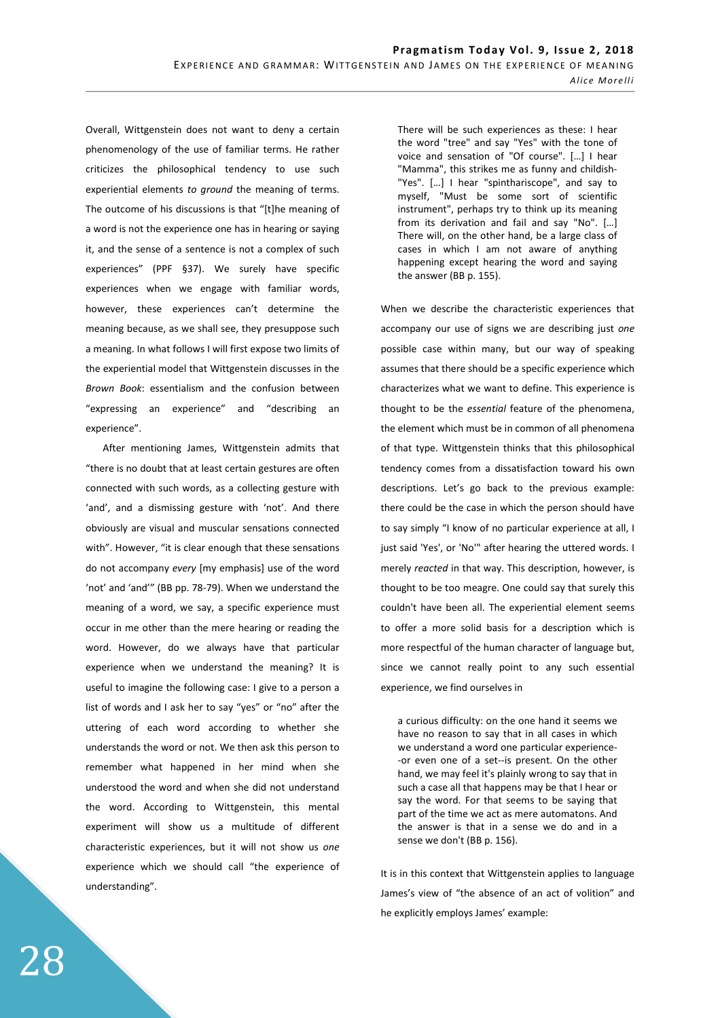Overall, Wittgenstein does not want to deny a certain phenomenology of the use of familiar terms. He rather criticizes the philosophical tendency to use such experiential elements *to ground* the meaning of terms. The outcome of his discussions is that "[t]he meaning of a word is not the experience one has in hearing or saying it, and the sense of a sentence is not a complex of such experiences" (PPF §37). We surely have specific experiences when we engage with familiar words, however, these experiences can't determine the meaning because, as we shall see, they presuppose such a meaning. In what follows I will first expose two limits of the experiential model that Wittgenstein discusses in the *Brown Book*: essentialism and the confusion between "expressing an experience" and "describing an experience".

After mentioning James, Wittgenstein admits that "there is no doubt that at least certain gestures are often connected with such words, as a collecting gesture with 'and', and a dismissing gesture with 'not'. And there obviously are visual and muscular sensations connected with". However, "it is clear enough that these sensations do not accompany *every* [my emphasis] use of the word 'not' and 'and'" (BB pp. 78-79). When we understand the meaning of a word, we say, a specific experience must occur in me other than the mere hearing or reading the word. However, do we always have that particular experience when we understand the meaning? It is useful to imagine the following case: I give to a person a list of words and I ask her to say "yes" or "no" after the uttering of each word according to whether she understands the word or not. We then ask this person to remember what happened in her mind when she understood the word and when she did not understand the word. According to Wittgenstein, this mental experiment will show us a multitude of different characteristic experiences, but it will not show us *one* experience which we should call "the experience of understanding".

There will be such experiences as these: I hear the word "tree" and say "Yes" with the tone of voice and sensation of "Of course". […] I hear "Mamma", this strikes me as funny and childish- "Yes". […] I hear "spinthariscope", and say to myself, "Must be some sort of scientific instrument", perhaps try to think up its meaning from its derivation and fail and say "No". […] There will, on the other hand, be a large class of cases in which I am not aware of anything happening except hearing the word and saying the answer (BB p. 155).

When we describe the characteristic experiences that accompany our use of signs we are describing just *one* possible case within many, but our way of speaking assumes that there should be a specific experience which characterizes what we want to define. This experience is thought to be the *essential* feature of the phenomena, the element which must be in common of all phenomena of that type. Wittgenstein thinks that this philosophical tendency comes from a dissatisfaction toward his own descriptions. Let's go back to the previous example: there could be the case in which the person should have to say simply "I know of no particular experience at all, I just said 'Yes', or 'No'" after hearing the uttered words. I merely *reacted* in that way. This description, however, is thought to be too meagre. One could say that surely this couldn't have been all. The experiential element seems to offer a more solid basis for a description which is more respectful of the human character of language but, since we cannot really point to any such essential experience, we find ourselves in

a curious difficulty: on the one hand it seems we have no reason to say that in all cases in which we understand a word one particular experience- -or even one of a set--is present. On the other hand, we may feel it's plainly wrong to say that in such a case all that happens may be that I hear or say the word. For that seems to be saying that part of the time we act as mere automatons. And the answer is that in a sense we do and in a sense we don't (BB p. 156).

It is in this context that Wittgenstein applies to language James's view of "the absence of an act of volition" and he explicitly employs James' example: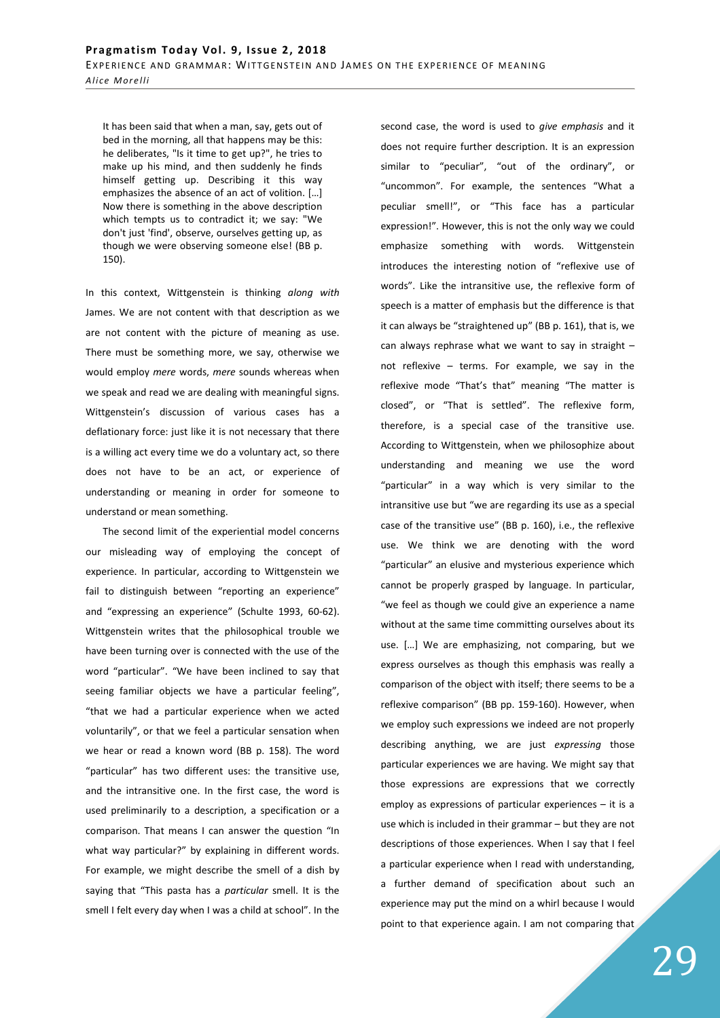It has been said that when a man, say, gets out of bed in the morning, all that happens may be this: he deliberates, "Is it time to get up?", he tries to make up his mind, and then suddenly he finds himself getting up. Describing it this way emphasizes the absence of an act of volition. […] Now there is something in the above description which tempts us to contradict it; we say: "We don't just 'find', observe, ourselves getting up, as though we were observing someone else! (BB p. 150).

In this context, Wittgenstein is thinking *along with* James. We are not content with that description as we are not content with the picture of meaning as use. There must be something more, we say, otherwise we would employ *mere* words, *mere* sounds whereas when we speak and read we are dealing with meaningful signs. Wittgenstein's discussion of various cases has a deflationary force: just like it is not necessary that there is a willing act every time we do a voluntary act, so there does not have to be an act, or experience of understanding or meaning in order for someone to understand or mean something.

The second limit of the experiential model concerns our misleading way of employing the concept of experience. In particular, according to Wittgenstein we fail to distinguish between "reporting an experience" and "expressing an experience" (Schulte 1993, 60-62). Wittgenstein writes that the philosophical trouble we have been turning over is connected with the use of the word "particular". "We have been inclined to say that seeing familiar objects we have a particular feeling", "that we had a particular experience when we acted voluntarily", or that we feel a particular sensation when we hear or read a known word (BB p. 158). The word "particular" has two different uses: the transitive use, and the intransitive one. In the first case, the word is used preliminarily to a description, a specification or a comparison. That means I can answer the question "In what way particular?" by explaining in different words. For example, we might describe the smell of a dish by saying that "This pasta has a *particular* smell. It is the smell I felt every day when I was a child at school". In the second case, the word is used to *give emphasis* and it does not require further description. It is an expression similar to "peculiar", "out of the ordinary", or "uncommon". For example, the sentences "What a peculiar smell!", or "This face has a particular expression!". However, this is not the only way we could emphasize something with words. Wittgenstein introduces the interesting notion of "reflexive use of words". Like the intransitive use, the reflexive form of speech is a matter of emphasis but the difference is that it can always be "straightened up" (BB p. 161), that is, we can always rephrase what we want to say in straight – not reflexive – terms. For example, we say in the reflexive mode "That's that" meaning "The matter is closed", or "That is settled". The reflexive form, therefore, is a special case of the transitive use. According to Wittgenstein, when we philosophize about understanding and meaning we use the word "particular" in a way which is very similar to the intransitive use but "we are regarding its use as a special case of the transitive use" (BB p. 160), i.e., the reflexive use. We think we are denoting with the word "particular" an elusive and mysterious experience which cannot be properly grasped by language. In particular, "we feel as though we could give an experience a name without at the same time committing ourselves about its use. […] We are emphasizing, not comparing, but we express ourselves as though this emphasis was really a comparison of the object with itself; there seems to be a reflexive comparison" (BB pp. 159-160). However, when we employ such expressions we indeed are not properly describing anything, we are just *expressing* those particular experiences we are having. We might say that those expressions are expressions that we correctly employ as expressions of particular experiences – it is a use which is included in their grammar – but they are not descriptions of those experiences. When I say that I feel a particular experience when I read with understanding, a further demand of specification about such an experience may put the mind on a whirl because I would point to that experience again. I am not comparing that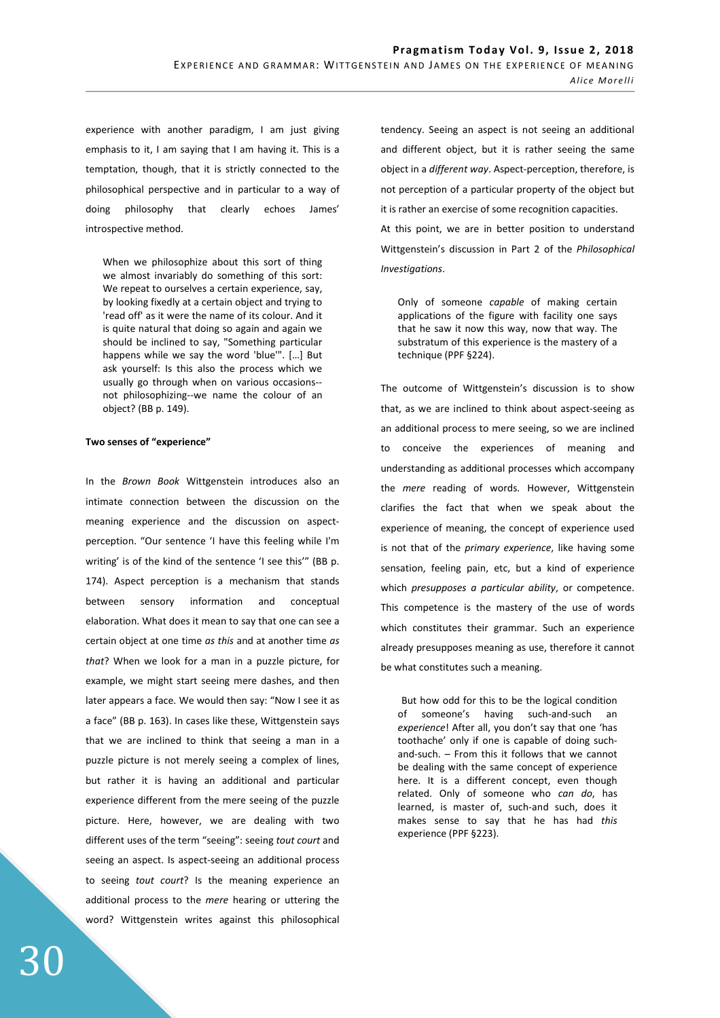experience with another paradigm, I am just giving emphasis to it, I am saying that I am having it. This is a temptation, though, that it is strictly connected to the philosophical perspective and in particular to a way of doing philosophy that clearly echoes James' introspective method.

When we philosophize about this sort of thing we almost invariably do something of this sort: We repeat to ourselves a certain experience, say, by looking fixedly at a certain object and trying to 'read off' as it were the name of its colour. And it is quite natural that doing so again and again we should be inclined to say, "Something particular happens while we say the word 'blue'". […] But ask yourself: Is this also the process which we usually go through when on various occasions- not philosophizing--we name the colour of an object? (BB p. 149).

## **Two senses of "experience"**

In the *Brown Book* Wittgenstein introduces also an intimate connection between the discussion on the meaning experience and the discussion on aspectperception. "Our sentence 'I have this feeling while I'm writing' is of the kind of the sentence 'I see this'" (BB p. 174). Aspect perception is a mechanism that stands between sensory information and conceptual elaboration. What does it mean to say that one can see a certain object at one time *as this* and at another time *as that*? When we look for a man in a puzzle picture, for example, we might start seeing mere dashes, and then later appears a face. We would then say: "Now I see it as a face" (BB p. 163). In cases like these, Wittgenstein says that we are inclined to think that seeing a man in a puzzle picture is not merely seeing a complex of lines, but rather it is having an additional and particular experience different from the mere seeing of the puzzle picture. Here, however, we are dealing with two different uses of the term "seeing": seeing *tout court* and seeing an aspect. Is aspect-seeing an additional process to seeing *tout court*? Is the meaning experience an additional process to the *mere* hearing or uttering the word? Wittgenstein writes against this philosophical

tendency. Seeing an aspect is not seeing an additional and different object, but it is rather seeing the same object in a *different way*. Aspect-perception, therefore, is not perception of a particular property of the object but it is rather an exercise of some recognition capacities. At this point, we are in better position to understand Wittgenstein's discussion in Part 2 of the *Philosophical Investigations*.

Only of someone *capable* of making certain applications of the figure with facility one says that he saw it now this way, now that way. The substratum of this experience is the mastery of a technique (PPF §224).

The outcome of Wittgenstein's discussion is to show that, as we are inclined to think about aspect-seeing as an additional process to mere seeing, so we are inclined to conceive the experiences of meaning and understanding as additional processes which accompany the *mere* reading of words. However, Wittgenstein clarifies the fact that when we speak about the experience of meaning, the concept of experience used is not that of the *primary experience*, like having some sensation, feeling pain, etc, but a kind of experience which *presupposes a particular ability*, or competence. This competence is the mastery of the use of words which constitutes their grammar. Such an experience already presupposes meaning as use, therefore it cannot be what constitutes such a meaning.

But how odd for this to be the logical condition of someone's having such-and-such an *experience*! After all, you don't say that one 'has toothache' only if one is capable of doing suchand-such. – From this it follows that we cannot be dealing with the same concept of experience here. It is a different concept, even though related. Only of someone who *can do*, has learned, is master of, such-and such, does it makes sense to say that he has had *this* experience (PPF §223).

30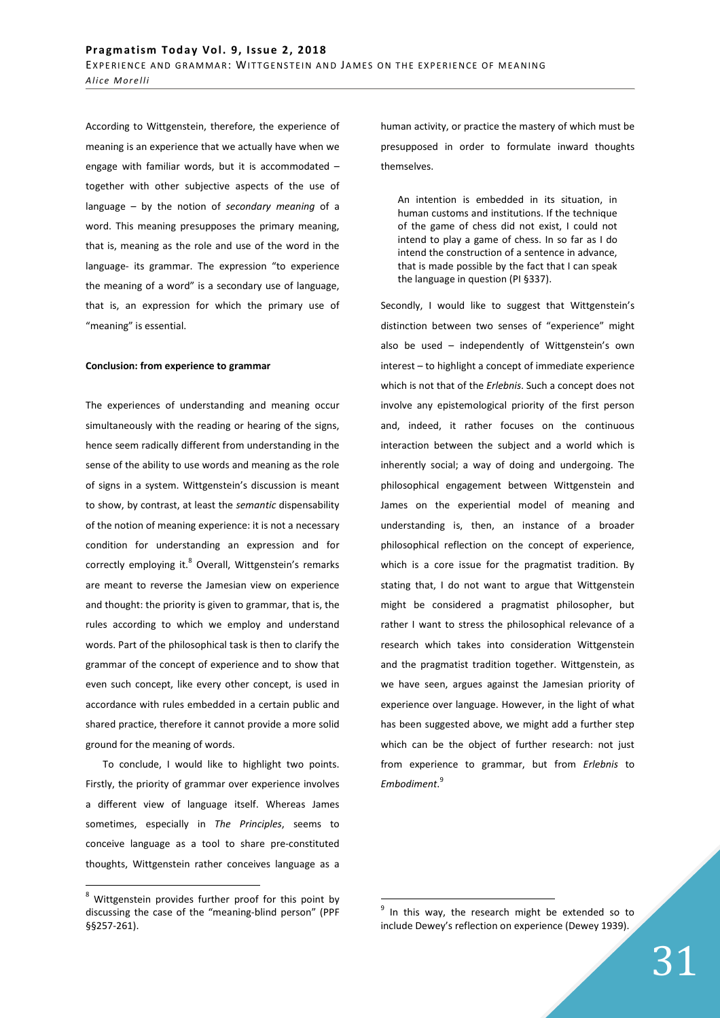According to Wittgenstein, therefore, the experience of meaning is an experience that we actually have when we engage with familiar words, but it is accommodated – together with other subjective aspects of the use of language – by the notion of *secondary meaning* of a word. This meaning presupposes the primary meaning, that is, meaning as the role and use of the word in the language- its grammar. The expression "to experience the meaning of a word" is a secondary use of language, that is, an expression for which the primary use of "meaning" is essential.

#### **Conclusion: from experience to grammar**

The experiences of understanding and meaning occur simultaneously with the reading or hearing of the signs, hence seem radically different from understanding in the sense of the ability to use words and meaning as the role of signs in a system. Wittgenstein's discussion is meant to show, by contrast, at least the *semantic* dispensability of the notion of meaning experience: it is not a necessary condition for understanding an expression and for correctly employing it.<sup>8</sup> Overall, Wittgenstein's remarks are meant to reverse the Jamesian view on experience and thought: the priority is given to grammar, that is, the rules according to which we employ and understand words. Part of the philosophical task is then to clarify the grammar of the concept of experience and to show that even such concept, like every other concept, is used in accordance with rules embedded in a certain public and shared practice, therefore it cannot provide a more solid ground for the meaning of words.

To conclude, I would like to highlight two points. Firstly, the priority of grammar over experience involves a different view of language itself. Whereas James sometimes, especially in *The Principles*, seems to conceive language as a tool to share pre-constituted thoughts, Wittgenstein rather conceives language as a

 $\overline{a}$ 

human activity, or practice the mastery of which must be presupposed in order to formulate inward thoughts themselves.

An intention is embedded in its situation, in human customs and institutions. If the technique of the game of chess did not exist, I could not intend to play a game of chess. In so far as I do intend the construction of a sentence in advance, that is made possible by the fact that I can speak the language in question (PI §337).

Secondly, I would like to suggest that Wittgenstein's distinction between two senses of "experience" might also be used – independently of Wittgenstein's own interest – to highlight a concept of immediate experience which is not that of the *Erlebnis*. Such a concept does not involve any epistemological priority of the first person and, indeed, it rather focuses on the continuous interaction between the subject and a world which is inherently social; a way of doing and undergoing. The philosophical engagement between Wittgenstein and James on the experiential model of meaning and understanding is, then, an instance of a broader philosophical reflection on the concept of experience, which is a core issue for the pragmatist tradition. By stating that, I do not want to argue that Wittgenstein might be considered a pragmatist philosopher, but rather I want to stress the philosophical relevance of a research which takes into consideration Wittgenstein and the pragmatist tradition together. Wittgenstein, as we have seen, argues against the Jamesian priority of experience over language. However, in the light of what has been suggested above, we might add a further step which can be the object of further research: not just from experience to grammar, but from *Erlebnis* to *Embodiment*. 9

 $\overline{a}$ 

<sup>&</sup>lt;sup>8</sup> Wittgenstein provides further proof for this point by discussing the case of the "meaning-blind person" (PPF §§257-261).

<sup>&</sup>lt;sup>9</sup> In this way, the research might be extended so to include Dewey's reflection on experience (Dewey 1939).